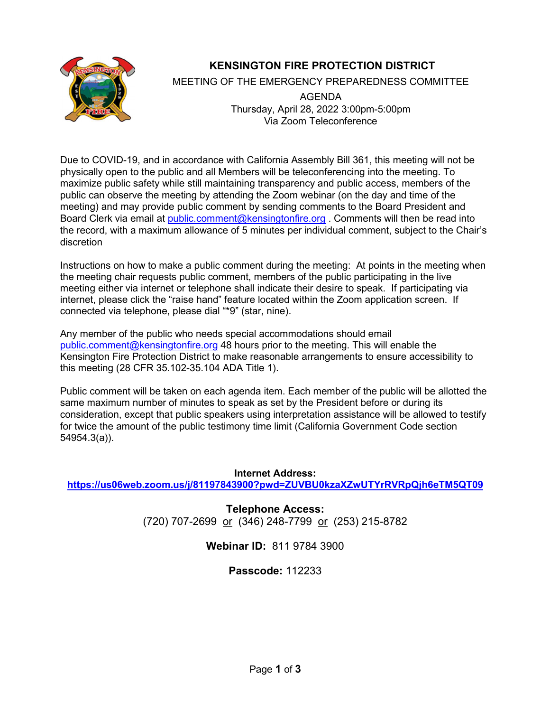

# **KENSINGTON FIRE PROTECTION DISTRICT**

MEETING OF THE EMERGENCY PREPAREDNESS COMMITTEE

AGENDA Thursday, April 28, 2022 3:00pm-5:00pm Via Zoom Teleconference

Due to COVID-19, and in accordance with California Assembly Bill 361, this meeting will not be physically open to the public and all Members will be teleconferencing into the meeting. To maximize public safety while still maintaining transparency and public access, members of the public can observe the meeting by attending the Zoom webinar (on the day and time of the meeting) and may provide public comment by sending comments to the Board President and Board Clerk via email at [public.comment@kensingtonfire.org](mailto:public.comment@kensingtonfire.org) . Comments will then be read into the record, with a maximum allowance of 5 minutes per individual comment, subject to the Chair's discretion

Instructions on how to make a public comment during the meeting: At points in the meeting when the meeting chair requests public comment, members of the public participating in the live meeting either via internet or telephone shall indicate their desire to speak. If participating via internet, please click the "raise hand" feature located within the Zoom application screen. If connected via telephone, please dial "\*9" (star, nine).

Any member of the public who needs special accommodations should email [public.comment@kensingtonfire.org](mailto:public.comment@kensingtonfire.org) 48 hours prior to the meeting. This will enable the Kensington Fire Protection District to make reasonable arrangements to ensure accessibility to this meeting (28 CFR 35.102-35.104 ADA Title 1).

Public comment will be taken on each agenda item. Each member of the public will be allotted the same maximum number of minutes to speak as set by the President before or during its consideration, except that public speakers using interpretation assistance will be allowed to testify for twice the amount of the public testimony time limit (California Government Code section 54954.3(a)).

**Internet Address: <https://us06web.zoom.us/j/81197843900?pwd=ZUVBU0kzaXZwUTYrRVRpQjh6eTM5QT09>**

> **Telephone Access:** (720) 707-2699 or (346) 248-7799 or (253) 215-8782

# **Webinar ID:** 811 9784 3900

# **Passcode:** 112233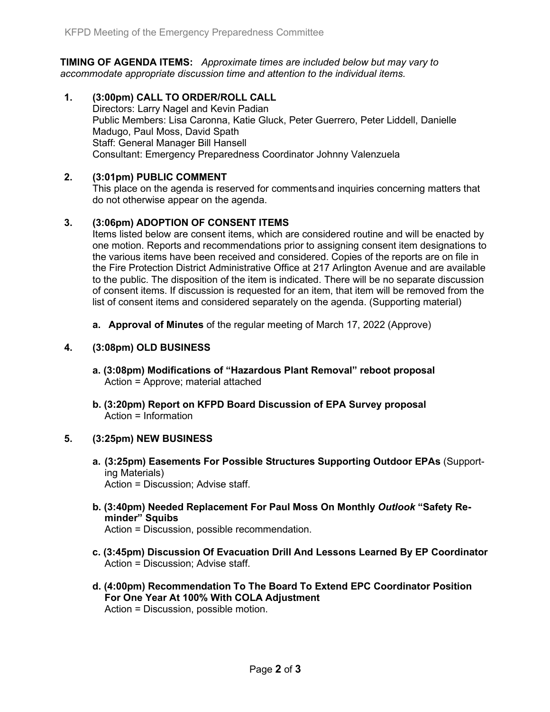**TIMING OF AGENDA ITEMS:** *Approximate times are included below but may vary to accommodate appropriate discussion time and attention to the individual items.*

**1. (3:00pm) CALL TO ORDER/ROLL CALL** Directors: Larry Nagel and Kevin Padian Public Members: Lisa Caronna, Katie Gluck, Peter Guerrero, Peter Liddell, Danielle Madugo, Paul Moss, David Spath Staff: General Manager Bill Hansell Consultant: Emergency Preparedness Coordinator Johnny Valenzuela

## **2. (3:01pm) PUBLIC COMMENT**

This place on the agenda is reserved for commentsand inquiries concerning matters that do not otherwise appear on the agenda.

# **3. (3:06pm) ADOPTION OF CONSENT ITEMS**

Items listed below are consent items, which are considered routine and will be enacted by one motion. Reports and recommendations prior to assigning consent item designations to the various items have been received and considered. Copies of the reports are on file in the Fire Protection District Administrative Office at 217 Arlington Avenue and are available to the public. The disposition of the item is indicated. There will be no separate discussion of consent items. If discussion is requested for an item, that item will be removed from the list of consent items and considered separately on the agenda. (Supporting material)

**a. Approval of Minutes** of the regular meeting of March 17, 2022 (Approve)

### **4. (3:08pm) OLD BUSINESS**

- **a. (3:08pm) Modifications of "Hazardous Plant Removal" reboot proposal**  Action = Approve; material attached
- **b. (3:20pm) Report on KFPD Board Discussion of EPA Survey proposal**  Action = Information

### **5. (3:25pm) NEW BUSINESS**

- **a. (3:25pm) Easements For Possible Structures Supporting Outdoor EPAs** (Supporting Materials) Action = Discussion; Advise staff.
- **b. (3:40pm) Needed Replacement For Paul Moss On Monthly** *Outlook* **"Safety Reminder" Squibs**  Action = Discussion, possible recommendation.
- **c. (3:45pm) Discussion Of Evacuation Drill And Lessons Learned By EP Coordinator** Action = Discussion; Advise staff.
- **d. (4:00pm) Recommendation To The Board To Extend EPC Coordinator Position For One Year At 100% With COLA Adjustment** Action = Discussion, possible motion.